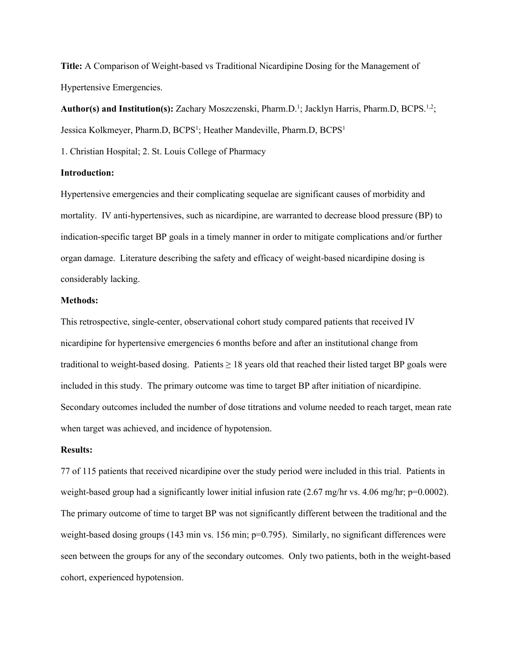**Title:** A Comparison of Weight-based vs Traditional Nicardipine Dosing for the Management of Hypertensive Emergencies.

Author(s) and Institution(s): Zachary Moszczenski, Pharm.D.<sup>1</sup>; Jacklyn Harris, Pharm.D, BCPS.<sup>1,2</sup>; Jessica Kolkmeyer, Pharm.D, BCPS<sup>1</sup>; Heather Mandeville, Pharm.D, BCPS<sup>1</sup>

1. Christian Hospital; 2. St. Louis College of Pharmacy

## **Introduction:**

Hypertensive emergencies and their complicating sequelae are significant causes of morbidity and mortality. IV anti-hypertensives, such as nicardipine, are warranted to decrease blood pressure (BP) to indication-specific target BP goals in a timely manner in order to mitigate complications and/or further organ damage. Literature describing the safety and efficacy of weight-based nicardipine dosing is considerably lacking.

## **Methods:**

This retrospective, single-center, observational cohort study compared patients that received IV nicardipine for hypertensive emergencies 6 months before and after an institutional change from traditional to weight-based dosing. Patients  $\geq 18$  years old that reached their listed target BP goals were included in this study. The primary outcome was time to target BP after initiation of nicardipine. Secondary outcomes included the number of dose titrations and volume needed to reach target, mean rate when target was achieved, and incidence of hypotension.

## **Results:**

77 of 115 patients that received nicardipine over the study period were included in this trial. Patients in weight-based group had a significantly lower initial infusion rate  $(2.67 \text{ mg/hr} \text{ vs. } 4.06 \text{ mg/hr}; \text{ p=0.0002}).$ The primary outcome of time to target BP was not significantly different between the traditional and the weight-based dosing groups (143 min vs. 156 min; p=0.795). Similarly, no significant differences were seen between the groups for any of the secondary outcomes. Only two patients, both in the weight-based cohort, experienced hypotension.